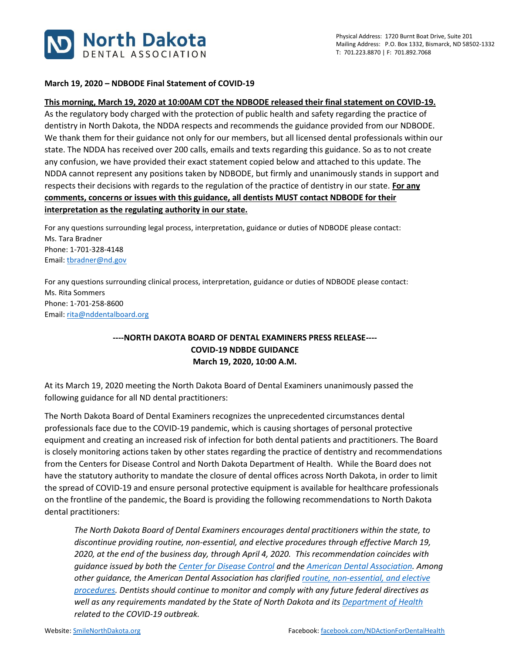

## **March 19, 2020 – NDBODE Final Statement of COVID-19**

## **This morning, March 19, 2020 at 10:00AM CDT the NDBODE released their final statement on COVID-19.**

As the regulatory body charged with the protection of public health and safety regarding the practice of dentistry in North Dakota, the NDDA respects and recommends the guidance provided from our NDBODE. We thank them for their guidance not only for our members, but all licensed dental professionals within our state. The NDDA has received over 200 calls, emails and texts regarding this guidance. So as to not create any confusion, we have provided their exact statement copied below and attached to this update. The NDDA cannot represent any positions taken by NDBODE, but firmly and unanimously stands in support and respects their decisions with regards to the regulation of the practice of dentistry in our state. **For any comments, concerns or issues with this guidance, all dentists MUST contact NDBODE for their interpretation as the regulating authority in our state.**

For any questions surrounding legal process, interpretation, guidance or duties of NDBODE please contact: Ms. Tara Bradner Phone: 1-701-328-4148 Email: [tbradner@nd.gov](mailto:tbradner@nd.gov)

For any questions surrounding clinical process, interpretation, guidance or duties of NDBODE please contact: Ms. Rita Sommers Phone: 1-701-258-8600 Email: [rita@nddentalboard.org](mailto:rita@nddentalboard.org)

## **----NORTH DAKOTA BOARD OF DENTAL EXAMINERS PRESS RELEASE---- COVID-19 NDBDE GUIDANCE March 19, 2020, 10:00 A.M.**

At its March 19, 2020 meeting the North Dakota Board of Dental Examiners unanimously passed the following guidance for all ND dental practitioners:

The North Dakota Board of Dental Examiners recognizes the unprecedented circumstances dental professionals face due to the COVID-19 pandemic, which is causing shortages of personal protective equipment and creating an increased risk of infection for both dental patients and practitioners. The Board is closely monitoring actions taken by other states regarding the practice of dentistry and recommendations from the Centers for Disease Control and North Dakota Department of Health. While the Board does not have the statutory authority to mandate the closure of dental offices across North Dakota, in order to limit the spread of COVID-19 and ensure personal protective equipment is available for healthcare professionals on the frontline of the pandemic, the Board is providing the following recommendations to North Dakota dental practitioners:

*The North Dakota Board of Dental Examiners encourages dental practitioners within the state, to discontinue providing routine, non-essential, and elective procedures through effective March 19, 2020, at the end of the business day, through April 4, 2020. This recommendation coincides with guidance issued by both th[e Center for Disease Control](https://www.cdc.gov/coronavirus/2019-ncov/hcp/index.html) and the [American Dental Association.](https://success.ada.org/en/practice-management/patients/infectious-diseases-2019-novel-coronavirus?_ga=2.231550428.2100234852.1584571984-652754692.1584571982) Among other guidance, the American Dental Association has clarified [routine, non-essential, and elective](https://success.ada.org/~/media/CPS/Files/Open%20Files/ADA_COVID19_Dental_Emergency_DDS.pdf)  [procedures.](https://success.ada.org/~/media/CPS/Files/Open%20Files/ADA_COVID19_Dental_Emergency_DDS.pdf) Dentists should continue to monitor and comply with any future federal directives as well as any requirements mandated by the State of North Dakota and its [Department of Health](https://www.health.nd.gov/diseases-conditions/coronavirus/north-dakota-coronavirus-cases) related to the COVID-19 outbreak.*